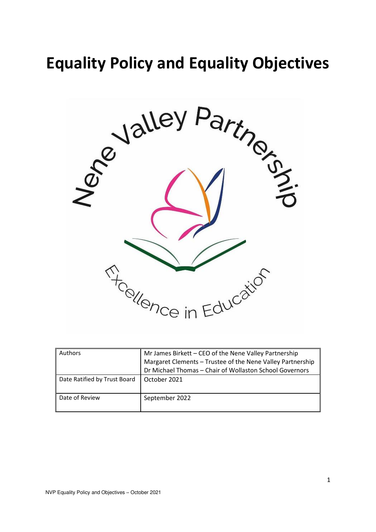# **Equality Policy and Equality Objectives**



| Authors                      | Mr James Birkett - CEO of the Nene Valley Partnership<br>Margaret Clements - Trustee of the Nene Valley Partnership<br>Dr Michael Thomas - Chair of Wollaston School Governors |
|------------------------------|--------------------------------------------------------------------------------------------------------------------------------------------------------------------------------|
| Date Ratified by Trust Board | October 2021                                                                                                                                                                   |
| Date of Review               | September 2022                                                                                                                                                                 |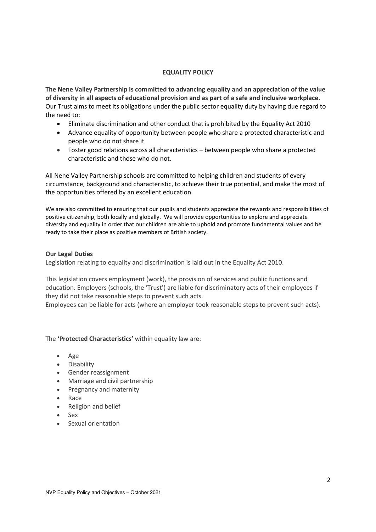#### **EQUALITY POLICY**

**The Nene Valley Partnership is committed to advancing equality and an appreciation of the value of diversity in all aspects of educational provision and as part of a safe and inclusive workplace.**  Our Trust aims to meet its obligations under the public sector equality duty by having due regard to the need to:

- Eliminate discrimination and other conduct that is prohibited by the Equality Act 2010
- Advance equality of opportunity between people who share a protected characteristic and people who do not share it
- Foster good relations across all characteristics between people who share a protected characteristic and those who do not.

All Nene Valley Partnership schools are committed to helping children and students of every circumstance, background and characteristic, to achieve their true potential, and make the most of the opportunities offered by an excellent education.

We are also committed to ensuring that our pupils and students appreciate the rewards and responsibilities of positive citizenship, both locally and globally. We will provide opportunities to explore and appreciate diversity and equality in order that our children are able to uphold and promote fundamental values and be ready to take their place as positive members of British society.

#### **Our Legal Duties**

Legislation relating to equality and discrimination is laid out in the Equality Act 2010.

This legislation covers employment (work), the provision of services and public functions and education. Employers (schools, the 'Trust') are liable for discriminatory acts of their employees if they did not take reasonable steps to prevent such acts.

Employees can be liable for acts (where an employer took reasonable steps to prevent such acts).

The **'Protected Characteristics'** within equality law are:

- Age
- Disability
- Gender reassignment
- Marriage and civil partnership
- Pregnancy and maternity
- Race
- Religion and belief
- Sex
- Sexual orientation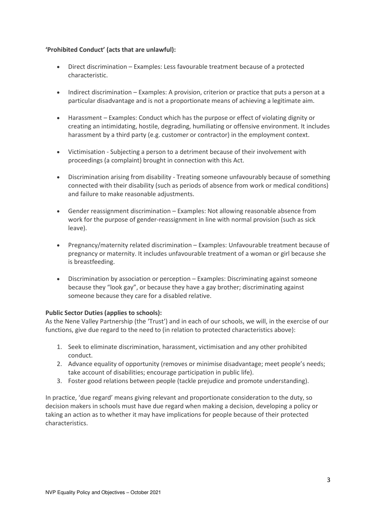## **'Prohibited Conduct' (acts that are unlawful):**

- Direct discrimination Examples: Less favourable treatment because of a protected characteristic.
- Indirect discrimination Examples: A provision, criterion or practice that puts a person at a particular disadvantage and is not a proportionate means of achieving a legitimate aim.
- Harassment Examples: Conduct which has the purpose or effect of violating dignity or creating an intimidating, hostile, degrading, humiliating or offensive environment. It includes harassment by a third party (e.g. customer or contractor) in the employment context.
- Victimisation Subjecting a person to a detriment because of their involvement with proceedings (a complaint) brought in connection with this Act.
- Discrimination arising from disability Treating someone unfavourably because of something connected with their disability (such as periods of absence from work or medical conditions) and failure to make reasonable adjustments.
- Gender reassignment discrimination Examples: Not allowing reasonable absence from work for the purpose of gender-reassignment in line with normal provision (such as sick leave).
- Pregnancy/maternity related discrimination Examples: Unfavourable treatment because of pregnancy or maternity. It includes unfavourable treatment of a woman or girl because she is breastfeeding.
- Discrimination by association or perception Examples: Discriminating against someone because they "look gay", or because they have a gay brother; discriminating against someone because they care for a disabled relative.

## **Public Sector Duties (applies to schools):**

As the Nene Valley Partnership (the 'Trust') and in each of our schools, we will, in the exercise of our functions, give due regard to the need to (in relation to protected characteristics above):

- 1. Seek to eliminate discrimination, harassment, victimisation and any other prohibited conduct.
- 2. Advance equality of opportunity (removes or minimise disadvantage; meet people's needs; take account of disabilities; encourage participation in public life).
- 3. Foster good relations between people (tackle prejudice and promote understanding).

In practice, 'due regard' means giving relevant and proportionate consideration to the duty, so decision makers in schools must have due regard when making a decision, developing a policy or taking an action as to whether it may have implications for people because of their protected characteristics.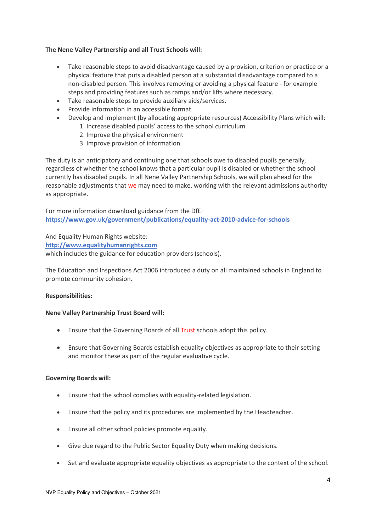## **The Nene Valley Partnership and all Trust Schools will:**

- Take reasonable steps to avoid disadvantage caused by a provision, criterion or practice or a physical feature that puts a disabled person at a substantial disadvantage compared to a non-disabled person. This involves removing or avoiding a physical feature - for example steps and providing features such as ramps and/or lifts where necessary.
- Take reasonable steps to provide auxiliary aids/services.
- Provide information in an accessible format.
- Develop and implement (by allocating appropriate resources) Accessibility Plans which will: 1. Increase disabled pupils' access to the school curriculum
	- 2. Improve the physical environment
	- 3. Improve provision of information.

The duty is an anticipatory and continuing one that schools owe to disabled pupils generally, regardless of whether the school knows that a particular pupil is disabled or whether the school currently has disabled pupils. In all Nene Valley Partnership Schools, we will plan ahead for the reasonable adjustments that we may need to make, working with the relevant admissions authority as appropriate.

For more information download guidance from the DfE: **<https://www.gov.uk/government/publications/equality-act-2010-advice-for-schools>**

And Equality Human Rights website:

**[http://www.equalityhumanrights.com](http://www.equalityhumanrights.com/)**

which includes the guidance for education providers (schools).

The Education and Inspections Act 2006 introduced a duty on all maintained schools in England to promote community cohesion.

## **Responsibilities:**

## **Nene Valley Partnership Trust Board will:**

- Ensure that the Governing Boards of all Trust schools adopt this policy.
- Ensure that Governing Boards establish equality objectives as appropriate to their setting and monitor these as part of the regular evaluative cycle.

## **Governing Boards will:**

- Ensure that the school complies with equality-related legislation.
- Ensure that the policy and its procedures are implemented by the Headteacher.
- Ensure all other school policies promote equality.
- Give due regard to the Public Sector Equality Duty when making decisions.
- Set and evaluate appropriate equality objectives as appropriate to the context of the school.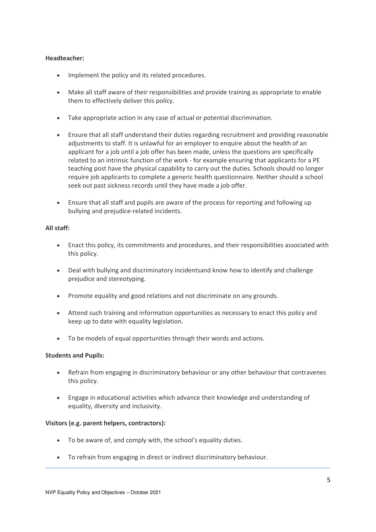## **Headteacher:**

- Implement the policy and its related procedures.
- Make all staff aware of their responsibilities and provide training as appropriate to enable them to effectively deliver this policy.
- Take appropriate action in any case of actual or potential discrimination.
- Ensure that all staff understand their duties regarding recruitment and providing reasonable adjustments to staff. It is unlawful for an employer to enquire about the health of an applicant for a job until a job offer has been made, unless the questions are specifically related to an intrinsic function of the work - for example ensuring that applicants for a PE teaching post have the physical capability to carry out the duties. Schools should no longer require job applicants to complete a generic health questionnaire. Neither should a school seek out past sickness records until they have made a job offer.
- Ensure that all staff and pupils are aware of the process for reporting and following up bullying and prejudice-related incidents.

#### **All staff:**

- Enact this policy, its commitments and procedures, and their responsibilities associated with this policy.
- Deal with bullying and discriminatory incidentsand know how to identify and challenge prejudice and stereotyping.
- Promote equality and good relations and not discriminate on any grounds.
- Attend such training and information opportunities as necessary to enact this policy and keep up to date with equality legislation.
- To be models of equal opportunities through their words and actions.

#### **Students and Pupils:**

- Refrain from engaging in discriminatory behaviour or any other behaviour that contravenes this policy.
- Engage in educational activities which advance their knowledge and understanding of equality, diversity and inclusivity.

#### **Visitors (e.g. parent helpers, contractors):**

- To be aware of, and comply with, the school's equality duties.
- To refrain from engaging in direct or indirect discriminatory behaviour.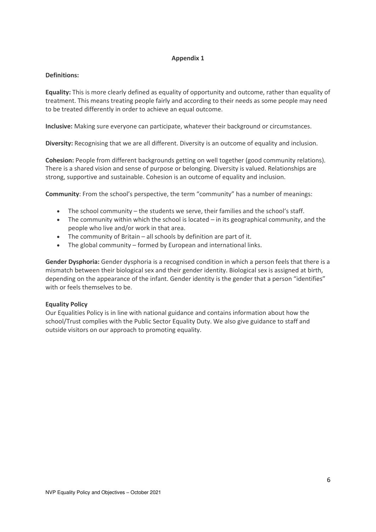## **Appendix 1**

## **Definitions:**

**Equality:** This is more clearly defined as equality of opportunity and outcome, rather than equality of treatment. This means treating people fairly and according to their needs as some people may need to be treated differently in order to achieve an equal outcome.

**Inclusive:** Making sure everyone can participate, whatever their background or circumstances.

**Diversity:** Recognising that we are all different. Diversity is an outcome of equality and inclusion.

**Cohesion:** People from different backgrounds getting on well together (good community relations). There is a shared vision and sense of purpose or belonging. Diversity is valued. Relationships are strong, supportive and sustainable. Cohesion is an outcome of equality and inclusion.

**Community**: From the school's perspective, the term "community" has a number of meanings:

- The school community the students we serve, their families and the school's staff.
- The community within which the school is located in its geographical community, and the people who live and/or work in that area.
- The community of Britain all schools by definition are part of it.
- The global community formed by European and international links.

**Gender Dysphoria:** Gender dysphoria is a recognised condition in which a person feels that there is a mismatch between their biological sex and their gender identity. Biological sex is assigned at birth, depending on the appearance of the infant. Gender identity is the gender that a person "identifies" with or feels themselves to be.

## **Equality Policy**

Our Equalities Policy is in line with national guidance and contains information about how the school/Trust complies with the Public Sector Equality Duty. We also give guidance to staff and outside visitors on our approach to promoting equality.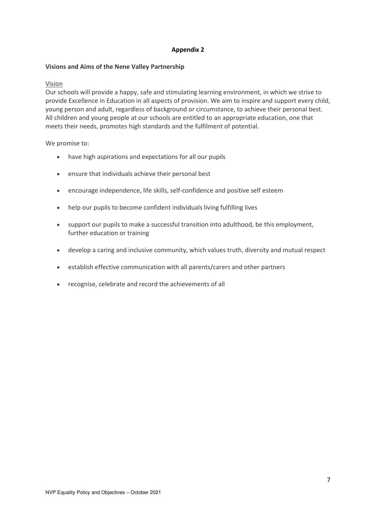## **Appendix 2**

## **Visions and Aims of the Nene Valley Partnership**

## Vision

Our schools will provide a happy, safe and stimulating learning environment, in which we strive to provide Excellence in Education in all aspects of provision. We aim to inspire and support every child, young person and adult, regardless of background or circumstance, to achieve their personal best. All children and young people at our schools are entitled to an appropriate education, one that meets their needs, promotes high standards and the fulfilment of potential.

We promise to:

- have high aspirations and expectations for all our pupils
- ensure that individuals achieve their personal best
- encourage independence, life skills, self-confidence and positive self esteem
- help our pupils to become confident individuals living fulfilling lives
- support our pupils to make a successful transition into adulthood, be this employment, further education or training
- develop a caring and inclusive community, which values truth, diversity and mutual respect
- establish effective communication with all parents/carers and other partners
- recognise, celebrate and record the achievements of all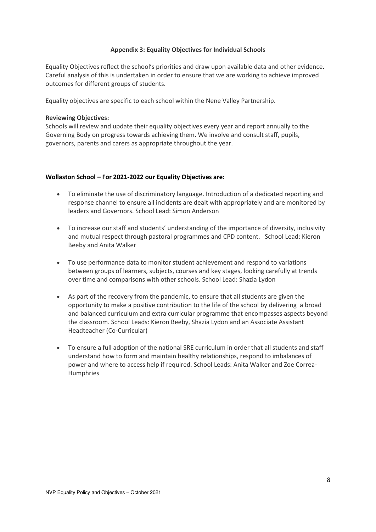## **Appendix 3: Equality Objectives for Individual Schools**

Equality Objectives reflect the school's priorities and draw upon available data and other evidence. Careful analysis of this is undertaken in order to ensure that we are working to achieve improved outcomes for different groups of students.

Equality objectives are specific to each school within the Nene Valley Partnership.

#### **Reviewing Objectives:**

Schools will review and update their equality objectives every year and report annually to the Governing Body on progress towards achieving them. We involve and consult staff, pupils, governors, parents and carers as appropriate throughout the year.

#### **Wollaston School – For 2021-2022 our Equality Objectives are:**

- To eliminate the use of discriminatory language. Introduction of a dedicated reporting and response channel to ensure all incidents are dealt with appropriately and are monitored by leaders and Governors. School Lead: Simon Anderson
- To increase our staff and students' understanding of the importance of diversity, inclusivity and mutual respect through pastoral programmes and CPD content. School Lead: Kieron Beeby and Anita Walker
- To use performance data to monitor student achievement and respond to variations between groups of learners, subjects, courses and key stages, looking carefully at trends over time and comparisons with other schools. School Lead: Shazia Lydon
- As part of the recovery from the pandemic, to ensure that all students are given the opportunity to make a positive contribution to the life of the school by delivering a broad and balanced curriculum and extra curricular programme that encompasses aspects beyond the classroom. School Leads: Kieron Beeby, Shazia Lydon and an Associate Assistant Headteacher (Co-Curricular)
- To ensure a full adoption of the national SRE curriculum in order that all students and staff understand how to form and maintain healthy relationships, respond to imbalances of power and where to access help if required. School Leads: Anita Walker and Zoe Correa-Humphries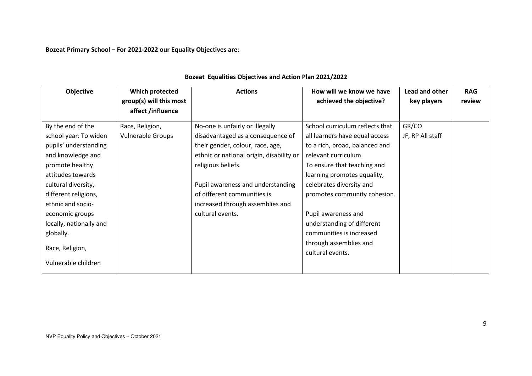**Bozeat Primary School – For 2021-2022 our Equality Objectives are**:

| Objective               | Which protected          | <b>Actions</b>                           | How will we know we have                   | Lead and other   | <b>RAG</b> |
|-------------------------|--------------------------|------------------------------------------|--------------------------------------------|------------------|------------|
|                         | group(s) will this most  |                                          | achieved the objective?                    | key players      | review     |
|                         | affect /influence        |                                          |                                            |                  |            |
| By the end of the       | Race, Religion,          | No-one is unfairly or illegally          | School curriculum reflects that            | GR/CO            |            |
| school year: To widen   | <b>Vulnerable Groups</b> | disadvantaged as a consequence of        | all learners have equal access             | JF, RP All staff |            |
| pupils' understanding   |                          | their gender, colour, race, age,         | to a rich, broad, balanced and             |                  |            |
| and knowledge and       |                          | ethnic or national origin, disability or | relevant curriculum.                       |                  |            |
| promote healthy         |                          | religious beliefs.                       | To ensure that teaching and                |                  |            |
| attitudes towards       |                          |                                          | learning promotes equality,                |                  |            |
| cultural diversity,     |                          | Pupil awareness and understanding        | celebrates diversity and                   |                  |            |
| different religions,    |                          | of different communities is              | promotes community cohesion.               |                  |            |
| ethnic and socio-       |                          | increased through assemblies and         |                                            |                  |            |
| economic groups         |                          | cultural events.                         | Pupil awareness and                        |                  |            |
| locally, nationally and |                          |                                          | understanding of different                 |                  |            |
| globally.               |                          |                                          | communities is increased                   |                  |            |
| Race, Religion,         |                          |                                          | through assemblies and<br>cultural events. |                  |            |
| Vulnerable children     |                          |                                          |                                            |                  |            |

# **Bozeat Equalities Objectives and Action Plan 2021/2022**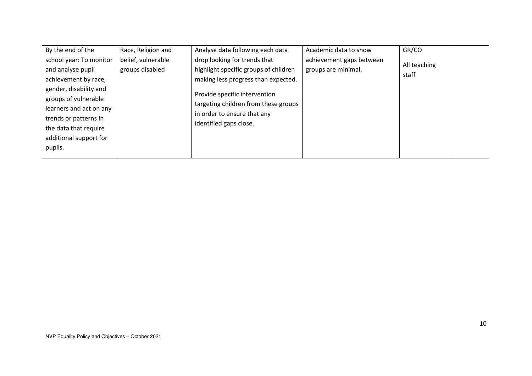| By the end of the                                                                                                                                                                                                                        | Race, Religion and                    | Analyse data following each data                                                                                                                                                                                                               | Academic data to show                           | GR/CO                 |  |
|------------------------------------------------------------------------------------------------------------------------------------------------------------------------------------------------------------------------------------------|---------------------------------------|------------------------------------------------------------------------------------------------------------------------------------------------------------------------------------------------------------------------------------------------|-------------------------------------------------|-----------------------|--|
| school year: To monitor<br>and analyse pupil<br>achievement by race,<br>gender, disability and<br>groups of vulnerable<br>learners and act on any<br>trends or patterns in<br>the data that require<br>additional support for<br>pupils. | belief, vulnerable<br>groups disabled | drop looking for trends that<br>highlight specific groups of children<br>making less progress than expected.<br>Provide specific intervention<br>targeting children from these groups<br>in order to ensure that any<br>identified gaps close. | achievement gaps between<br>groups are minimal. | All teaching<br>staff |  |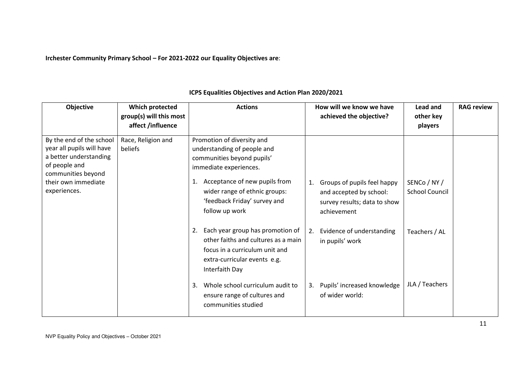**Irchester Community Primary School – For 2021-2022 our Equality Objectives are**:

| Objective                                                                                                                                                     | Which protected<br>group(s) will this most<br>affect /influence | <b>Actions</b>                                                                                                                                                                                                                              | How will we know we have<br>achieved the objective?                                                         | Lead and<br>other key<br>players      | <b>RAG review</b> |
|---------------------------------------------------------------------------------------------------------------------------------------------------------------|-----------------------------------------------------------------|---------------------------------------------------------------------------------------------------------------------------------------------------------------------------------------------------------------------------------------------|-------------------------------------------------------------------------------------------------------------|---------------------------------------|-------------------|
| By the end of the school<br>year all pupils will have<br>a better understanding<br>of people and<br>communities beyond<br>their own immediate<br>experiences. | Race, Religion and<br>beliefs                                   | Promotion of diversity and<br>understanding of people and<br>communities beyond pupils'<br>immediate experiences.<br>Acceptance of new pupils from<br>1.<br>wider range of ethnic groups:<br>'feedback Friday' survey and<br>follow up work | Groups of pupils feel happy<br>1.<br>and accepted by school:<br>survey results; data to show<br>achievement | SENCo / NY /<br><b>School Council</b> |                   |
|                                                                                                                                                               |                                                                 | Each year group has promotion of<br>2.<br>other faiths and cultures as a main<br>focus in a curriculum unit and<br>extra-curricular events e.g.<br>Interfaith Day                                                                           | Evidence of understanding<br>2.<br>in pupils' work                                                          | Teachers / AL                         |                   |
|                                                                                                                                                               |                                                                 | Whole school curriculum audit to<br>3.<br>ensure range of cultures and<br>communities studied                                                                                                                                               | Pupils' increased knowledge<br>3.<br>of wider world:                                                        | JLA / Teachers                        |                   |

# **ICPS Equalities Objectives and Action Plan 2020/2021**